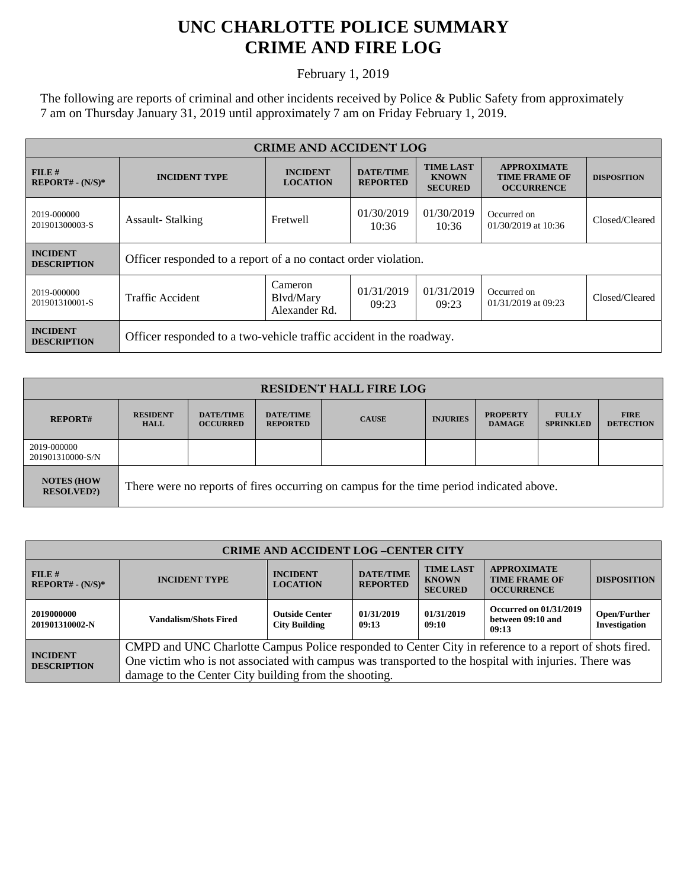## **UNC CHARLOTTE POLICE SUMMARY CRIME AND FIRE LOG**

February 1, 2019

The following are reports of criminal and other incidents received by Police & Public Safety from approximately 7 am on Thursday January 31, 2019 until approximately 7 am on Friday February 1, 2019.

| <b>CRIME AND ACCIDENT LOG</b>         |                                                                     |                                       |                                     |                                                    |                                                                 |                    |  |
|---------------------------------------|---------------------------------------------------------------------|---------------------------------------|-------------------------------------|----------------------------------------------------|-----------------------------------------------------------------|--------------------|--|
| FILE#<br>$REPORT# - (N/S)*$           | <b>INCIDENT TYPE</b>                                                | <b>INCIDENT</b><br><b>LOCATION</b>    | <b>DATE/TIME</b><br><b>REPORTED</b> | <b>TIME LAST</b><br><b>KNOWN</b><br><b>SECURED</b> | <b>APPROXIMATE</b><br><b>TIME FRAME OF</b><br><b>OCCURRENCE</b> | <b>DISPOSITION</b> |  |
| 2019-000000<br>201901300003-S         | <b>Assault-Stalking</b>                                             | Fretwell                              | 01/30/2019<br>10:36                 | 01/30/2019<br>10:36                                | Occurred on<br>$01/30/2019$ at 10:36                            | Closed/Cleared     |  |
| <b>INCIDENT</b><br><b>DESCRIPTION</b> | Officer responded to a report of a no contact order violation.      |                                       |                                     |                                                    |                                                                 |                    |  |
| 2019-000000<br>201901310001-S         | Traffic Accident                                                    | Cameron<br>Blvd/Mary<br>Alexander Rd. | 01/31/2019<br>09:23                 | 01/31/2019<br>09:23                                | Occurred on<br>01/31/2019 at 09:23                              | Closed/Cleared     |  |
| <b>INCIDENT</b><br><b>DESCRIPTION</b> | Officer responded to a two-vehicle traffic accident in the roadway. |                                       |                                     |                                                    |                                                                 |                    |  |

| <b>RESIDENT HALL FIRE LOG</b>         |                                                                                         |                                     |                                     |              |                 |                                  |                                  |                                 |
|---------------------------------------|-----------------------------------------------------------------------------------------|-------------------------------------|-------------------------------------|--------------|-----------------|----------------------------------|----------------------------------|---------------------------------|
| <b>REPORT#</b>                        | <b>RESIDENT</b><br><b>HALL</b>                                                          | <b>DATE/TIME</b><br><b>OCCURRED</b> | <b>DATE/TIME</b><br><b>REPORTED</b> | <b>CAUSE</b> | <b>INJURIES</b> | <b>PROPERTY</b><br><b>DAMAGE</b> | <b>FULLY</b><br><b>SPRINKLED</b> | <b>FIRE</b><br><b>DETECTION</b> |
| 2019-000000<br>201901310000-S/N       |                                                                                         |                                     |                                     |              |                 |                                  |                                  |                                 |
| <b>NOTES (HOW</b><br><b>RESOLVED?</b> | There were no reports of fires occurring on campus for the time period indicated above. |                                     |                                     |              |                 |                                  |                                  |                                 |

| <b>CRIME AND ACCIDENT LOG-CENTER CITY</b> |                                                                                                                                                                                                                                                                          |                                               |                                     |                                                    |                                                                                       |                                      |  |
|-------------------------------------------|--------------------------------------------------------------------------------------------------------------------------------------------------------------------------------------------------------------------------------------------------------------------------|-----------------------------------------------|-------------------------------------|----------------------------------------------------|---------------------------------------------------------------------------------------|--------------------------------------|--|
| FILE#<br>$REPORT# - (N/S)*$               | <b>INCIDENT TYPE</b>                                                                                                                                                                                                                                                     | <b>INCIDENT</b><br><b>LOCATION</b>            | <b>DATE/TIME</b><br><b>REPORTED</b> | <b>TIME LAST</b><br><b>KNOWN</b><br><b>SECURED</b> | <b>APPROXIMATE</b><br><b>TIME FRAME OF</b><br><b>DISPOSITION</b><br><b>OCCURRENCE</b> |                                      |  |
| 2019000000<br>201901310002-N              | <b>Vandalism/Shots Fired</b>                                                                                                                                                                                                                                             | <b>Outside Center</b><br><b>City Building</b> | 01/31/2019<br>09:13                 | 01/31/2019<br>09:10                                | <b>Occurred on 01/31/2019</b><br>between 09:10 and<br>09:13                           | <b>Open/Further</b><br>Investigation |  |
| <b>INCIDENT</b><br><b>DESCRIPTION</b>     | CMPD and UNC Charlotte Campus Police responded to Center City in reference to a report of shots fired.<br>One victim who is not associated with campus was transported to the hospital with injuries. There was<br>damage to the Center City building from the shooting. |                                               |                                     |                                                    |                                                                                       |                                      |  |